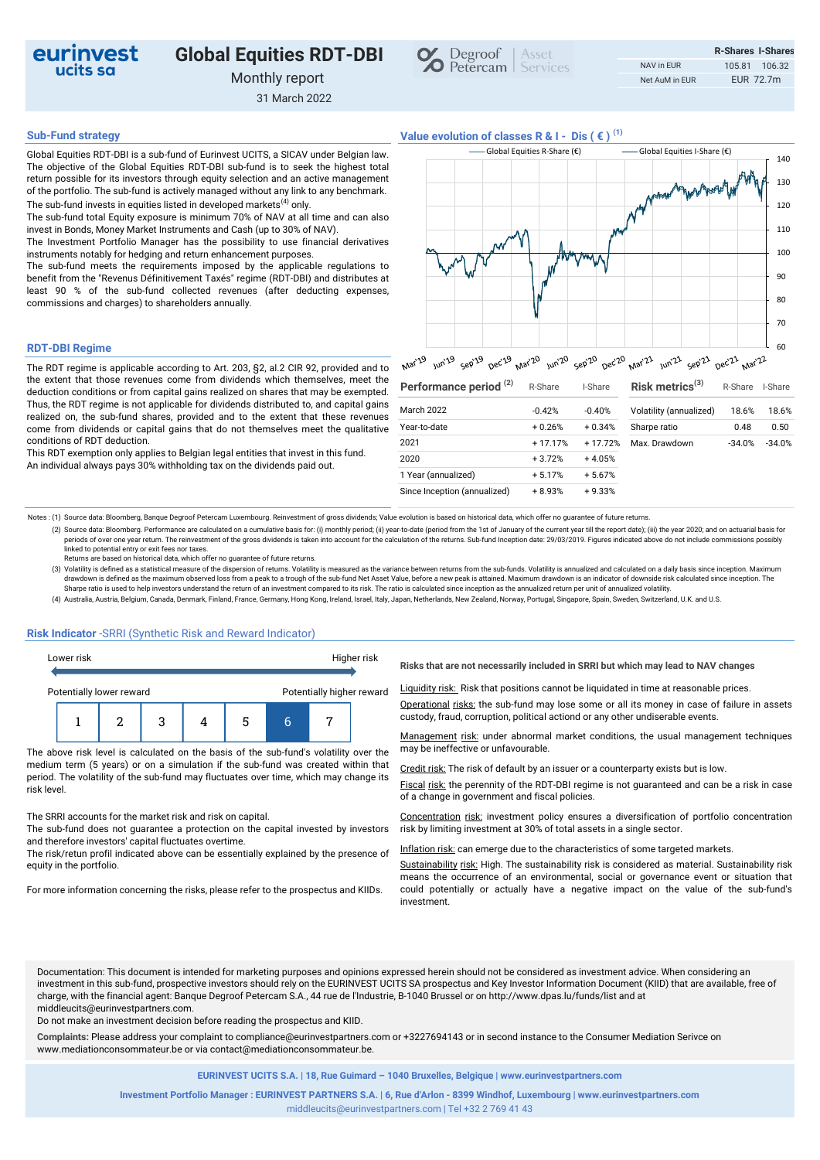

# **Global Equities RDT-DBI**

Monthly report

31 March 2022



**Sub-Fund strategy Value evolution of classes R & I - Dis ( € ) (1)**

Global Equities RDT-DBI is a sub-fund of Eurinvest UCITS, a SICAV under Belgian law. The objective of the Global Equities RDT-DBI sub-fund is to seek the highest total return possible for its investors through equity selection and an active management of the portfolio. The sub-fund is actively managed without any link to any benchmark. The sub-fund invests in equities listed in developed markets<sup>(4)</sup> only.

The sub-fund total Equity exposure is minimum 70% of NAV at all time and can also invest in Bonds, Money Market Instruments and Cash (up to 30% of NAV).

The Investment Portfolio Manager has the possibility to use financial derivatives instruments notably for hedging and return enhancement purposes.

The sub-fund meets the requirements imposed by the applicable regulations to benefit from the "Revenus Définitivement Taxés" regime (RDT-DBI) and distributes at least 90 % of the sub-fund collected revenues (after deducting expenses, commissions and charges) to shareholders annually.

### **RDT-DBI Regime**

The RDT regime is applicable according to Art. 203, §2, al.2 CIR 92, provided and to the extent that those revenues come from dividends which themselves, meet the deduction conditions or from capital gains realized on shares that may be exempted. Thus, the RDT regime is not applicable for dividends distributed to, and capital gains realized on, the sub-fund shares, provided and to the extent that these revenues come from dividends or capital gains that do not themselves meet the qualitative conditions of RDT deduction.

This RDT exemption only applies to Belgian legal entities that invest in this fund. An individual always pays 30% withholding tax on the dividends paid out.

|  | Global Equities R-Share $(\epsilon)$ | Global Equities I-Share (€) |  | 140 |
|--|--------------------------------------|-----------------------------|--|-----|
|  |                                      | when we were you will       |  | 130 |
|  |                                      |                             |  | 120 |
|  |                                      |                             |  | 110 |
|  |                                      |                             |  | 100 |
|  |                                      |                             |  | 90  |
|  |                                      |                             |  | 80  |
|  |                                      |                             |  | 70  |
|  |                                      |                             |  | 60  |

| Performance period <sup>(2)</sup> | R-Share   | I-Share   | Risk metrics $(3)$      | R-Share  | I-Share  |  |
|-----------------------------------|-----------|-----------|-------------------------|----------|----------|--|
| <b>March 2022</b>                 | $-0.42%$  | $-0.40%$  | Volatility (annualized) | 18.6%    | 18.6%    |  |
| Year-to-date                      | $+0.26%$  | $+0.34%$  | Sharpe ratio            | 0.48     | 0.50     |  |
| 2021                              | $+17.17%$ | $+17.72%$ | Max. Drawdown           | $-34.0%$ | $-34.0%$ |  |
| 2020                              | $+3.72%$  | $+4.05%$  |                         |          |          |  |
| 1 Year (annualized)               | $+5.17%$  | $+5.67%$  |                         |          |          |  |
| Since Inception (annualized)      | $+8.93%$  | $+9.33%$  |                         |          |          |  |

Notes : (1) Source data: Bloomberg, Banque Degroof Petercam Luxembourg. Reinvestment of gross dividends; Value evolution is based on historical data, which offer no guarantee of future returns.

- (2) Source data: Bloomberg. Performance are calculated on a cumulative basis for: (i) monthly period; (ii) year-to-date (period from the 1st of January of the current year till the report date); (iii) the year 2020; and on periods of over one year return. The reinvestment of the gross dividends is taken into account for the calculation of the returns. Sub-fund Inception date: 29/03/2019. Figures indicated above do not include commissions pos linked to potential entry or exit fees nor taxes.
- Returns are based on historical data, which offer no guarantee of future returns.

(3) Volatility is defined as a statistical measure of the dispersion of returns. Volatility is measured as the variance between returns from the sub-funds. Volatility is annualized and calculated on a daily basis since inc drawdown is defined as the maximum observed loss from a peak to a trough of the sub-fund Net Asset Value, before a new peak is attained. Maximum drawdown is an indicator of downside risk calculated since inception. The Sharpe ratio is used to help investors understand the return of an investment compared to its risk. The ratio is calculated since inception as the annualized return per unit of annualized volatility.

(4) Australia, Austria, Belgium, Canada, Denmark, Finland, France, Germany, Hong Kong, Ireland, Israel, Italy, Japan, Netherlands, New Zealand, Norway, Portugal, Singapore, Spain, Sweden, Switzerland, U.K. and U.S.

## **Risk Indicator** -SRRI (Synthetic Risk and Reward Indicator)

| Lower risk |                          |  |  |  |   |                           | Higher risk |
|------------|--------------------------|--|--|--|---|---------------------------|-------------|
|            | Potentially lower reward |  |  |  |   | Potentially higher reward |             |
|            |                          |  |  |  | 5 |                           |             |

The above risk level is calculated on the basis of the sub-fund's volatility over the medium term (5 years) or on a simulation if the sub-fund was created within that period. The volatility of the sub-fund may fluctuates over time, which may change its risk level.

The SRRI accounts for the market risk and risk on capital.

The sub-fund does not guarantee a protection on the capital invested by investors and therefore investors' capital fluctuates overtime.

The risk/retun profil indicated above can be essentially explained by the presence of equity in the portfolio.

For more information concerning the risks, please refer to the prospectus and KIIDs.

**Risks that are not necessarily included in SRRI but which may lead to NAV changes** 

Liquidity risk: Risk that positions cannot be liquidated in time at reasonable prices.

Operational risks: the sub-fund may lose some or all its money in case of failure in assets custody, fraud, corruption, political actiond or any other undiserable events.

Management risk: under abnormal market conditions, the usual management techniques may be ineffective or unfavourable.

Credit risk: The risk of default by an issuer or a counterparty exists but is low.

Fiscal risk: the perennity of the RDT-DBI regime is not guaranteed and can be a risk in case of a change in government and fiscal policies.

Concentration risk: investment policy ensures a diversification of portfolio concentration risk by limiting investment at 30% of total assets in a single sector.

Inflation risk: can emerge due to the characteristics of some targeted markets.

Sustainability risk: High. The sustainability risk is considered as material. Sustainability risk means the occurrence of an environmental, social or governance event or situation that could potentially or actually have a negative impact on the value of the sub-fund's investment.

Documentation: This document is intended for marketing purposes and opinions expressed herein should not be considered as investment advice. When considering an investment in this sub-fund, prospective investors should rely on the EURINVEST UCITS SA prospectus and Key Investor Information Document (KIID) that are available, free of charge, with the financial agent: Banque Degroof Petercam S.A., 44 rue de l'Industrie, B-1040 Brussel or on http://www.dpas.lu/funds/list and at middleucits@eurinvestpartners.com.

Do not make an investment decision before reading the prospectus and KIID.

**Complaints:** Please address your complaint to compliance@eurinvestpartners.com or +3227694143 or in second instance to the Consumer Mediation Serivce on www.mediationconsommateur.be or via contact@mediationconsommateur.be.

**EURINVEST UCITS S.A. | 18, Rue Guimard – 1040 Bruxelles, Belgique | www.eurinvestpartners.com**

middleucits@eurinvestpartners.com | Tel +32 2 769 41 43 **Investment Portfolio Manager : EURINVEST PARTNERS S.A. | 6, Rue d'Arlon - 8399 Windhof, Luxembourg | www.eurinvestpartners.com**